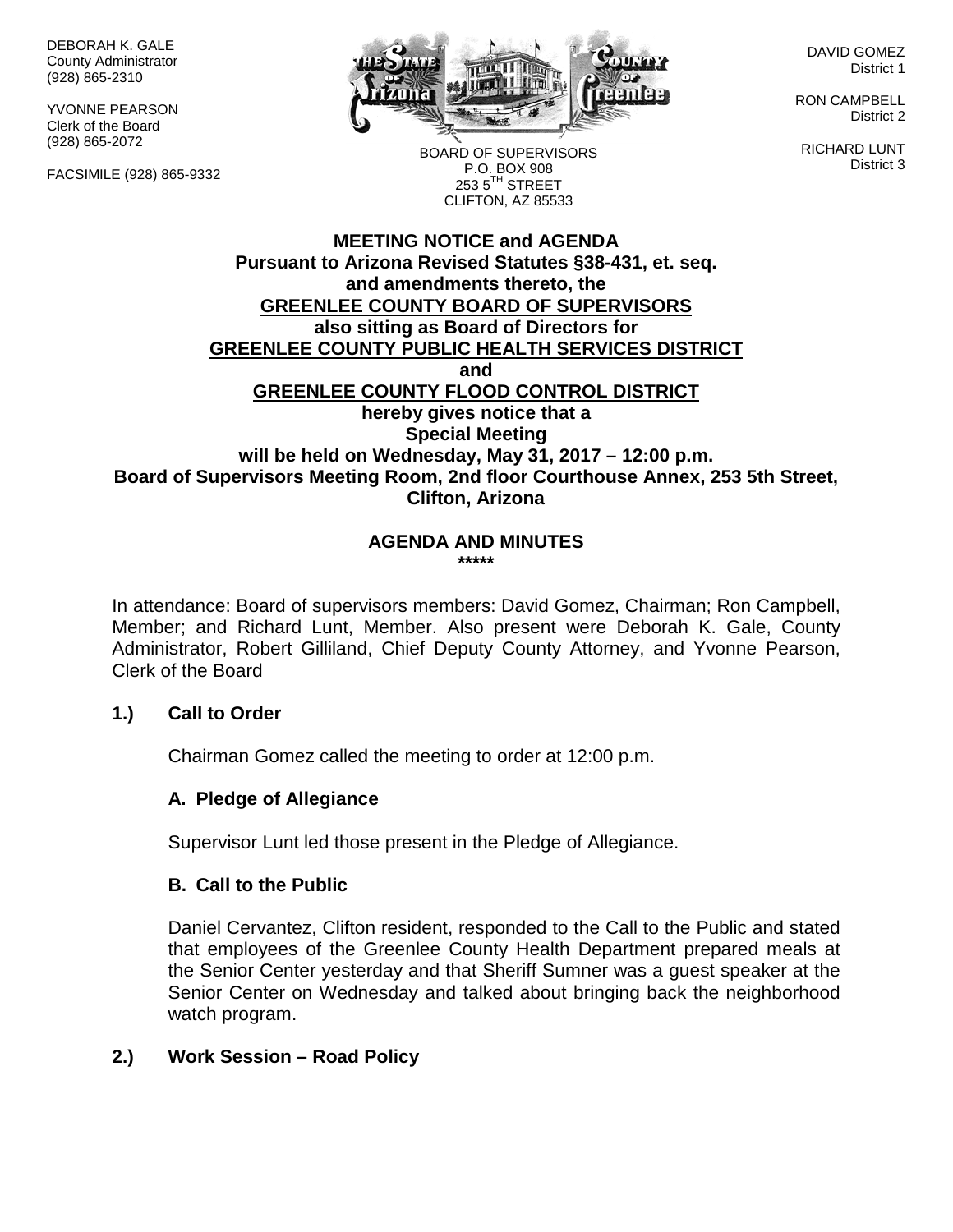DEBORAH K. GALE County Administrator (928) 865-2310

YVONNE PEARSON Clerk of the Board (928) 865-2072

FACSIMILE (928) 865-9332



DAVID GOMEZ District 1

RON CAMPBELL District 2

RICHARD LUNT District 3

BOARD OF SUPERVISORS P.O. BOX 908  $253.5$ <sup>TH</sup> STREET CLIFTON, AZ 85533

## **MEETING NOTICE and AGENDA Pursuant to Arizona Revised Statutes §38-431, et. seq. and amendments thereto, the GREENLEE COUNTY BOARD OF SUPERVISORS also sitting as Board of Directors for GREENLEE COUNTY PUBLIC HEALTH SERVICES DISTRICT and GREENLEE COUNTY FLOOD CONTROL DISTRICT hereby gives notice that a Special Meeting will be held on Wednesday, May 31, 2017 – 12:00 p.m. Board of Supervisors Meeting Room, 2nd floor Courthouse Annex, 253 5th Street, Clifton, Arizona**

#### **AGENDA AND MINUTES \*\*\*\*\***

In attendance: Board of supervisors members: David Gomez, Chairman; Ron Campbell, Member; and Richard Lunt, Member. Also present were Deborah K. Gale, County Administrator, Robert Gilliland, Chief Deputy County Attorney, and Yvonne Pearson, Clerk of the Board

## **1.) Call to Order**

Chairman Gomez called the meeting to order at 12:00 p.m.

## **A. Pledge of Allegiance**

Supervisor Lunt led those present in the Pledge of Allegiance.

## **B. Call to the Public**

Daniel Cervantez, Clifton resident, responded to the Call to the Public and stated that employees of the Greenlee County Health Department prepared meals at the Senior Center yesterday and that Sheriff Sumner was a guest speaker at the Senior Center on Wednesday and talked about bringing back the neighborhood watch program.

## **2.) Work Session – Road Policy**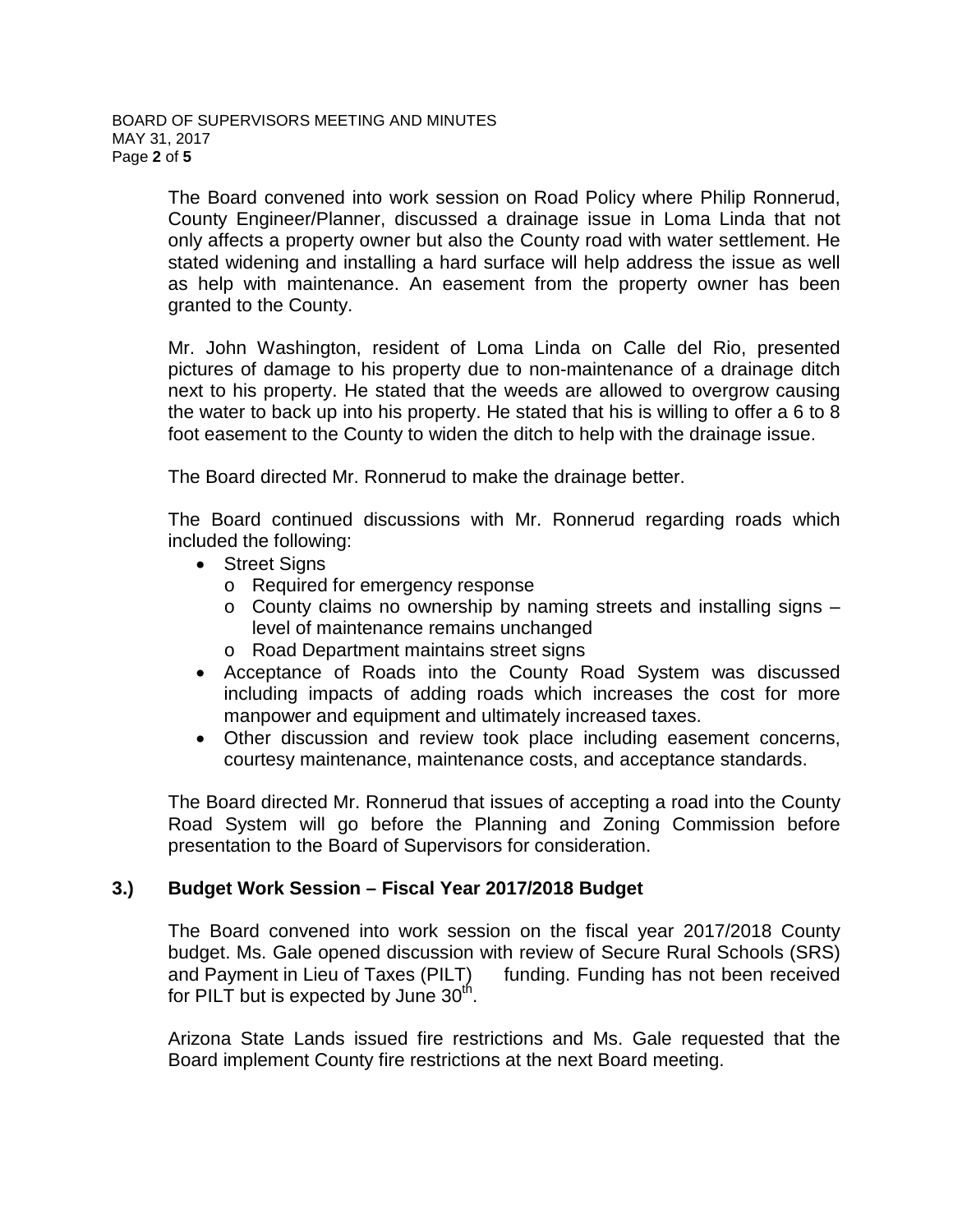The Board convened into work session on Road Policy where Philip Ronnerud, County Engineer/Planner, discussed a drainage issue in Loma Linda that not only affects a property owner but also the County road with water settlement. He stated widening and installing a hard surface will help address the issue as well as help with maintenance. An easement from the property owner has been granted to the County.

Mr. John Washington, resident of Loma Linda on Calle del Rio, presented pictures of damage to his property due to non-maintenance of a drainage ditch next to his property. He stated that the weeds are allowed to overgrow causing the water to back up into his property. He stated that his is willing to offer a 6 to 8 foot easement to the County to widen the ditch to help with the drainage issue.

The Board directed Mr. Ronnerud to make the drainage better.

The Board continued discussions with Mr. Ronnerud regarding roads which included the following:

- Street Signs
	- o Required for emergency response
	- o County claims no ownership by naming streets and installing signs level of maintenance remains unchanged
	- o Road Department maintains street signs
- Acceptance of Roads into the County Road System was discussed including impacts of adding roads which increases the cost for more manpower and equipment and ultimately increased taxes.
- Other discussion and review took place including easement concerns, courtesy maintenance, maintenance costs, and acceptance standards.

The Board directed Mr. Ronnerud that issues of accepting a road into the County Road System will go before the Planning and Zoning Commission before presentation to the Board of Supervisors for consideration.

## **3.) Budget Work Session – Fiscal Year 2017/2018 Budget**

The Board convened into work session on the fiscal year 2017/2018 County budget. Ms. Gale opened discussion with review of Secure Rural Schools (SRS) and Payment in Lieu of Taxes (PILT) funding. Funding has not been received for PILT but is expected by June  $30<sup>th</sup>$ .

Arizona State Lands issued fire restrictions and Ms. Gale requested that the Board implement County fire restrictions at the next Board meeting.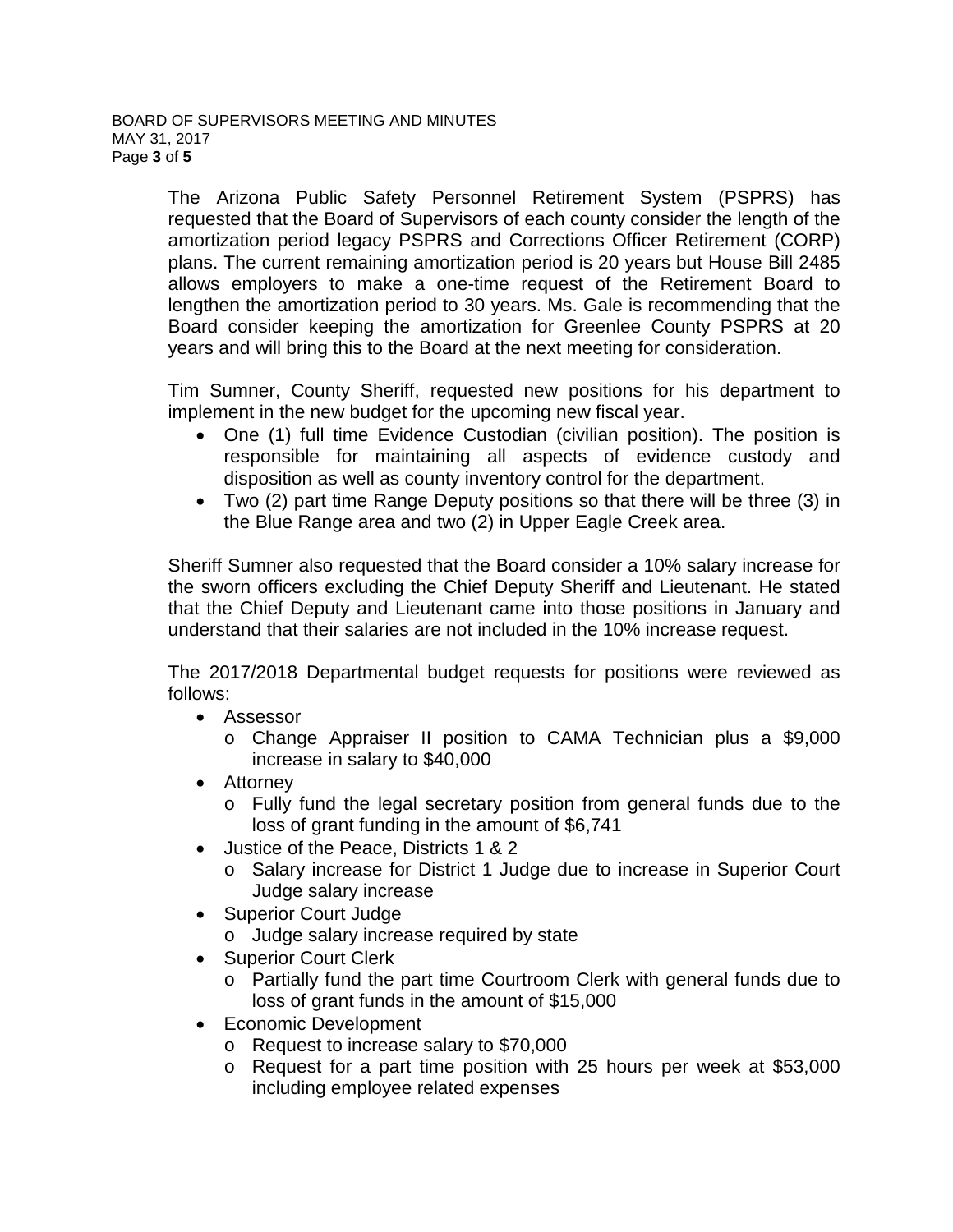The Arizona Public Safety Personnel Retirement System (PSPRS) has requested that the Board of Supervisors of each county consider the length of the amortization period legacy PSPRS and Corrections Officer Retirement (CORP) plans. The current remaining amortization period is 20 years but House Bill 2485 allows employers to make a one-time request of the Retirement Board to lengthen the amortization period to 30 years. Ms. Gale is recommending that the Board consider keeping the amortization for Greenlee County PSPRS at 20 years and will bring this to the Board at the next meeting for consideration.

Tim Sumner, County Sheriff, requested new positions for his department to implement in the new budget for the upcoming new fiscal year.

- One (1) full time Evidence Custodian (civilian position). The position is responsible for maintaining all aspects of evidence custody and disposition as well as county inventory control for the department.
- Two (2) part time Range Deputy positions so that there will be three (3) in the Blue Range area and two (2) in Upper Eagle Creek area.

Sheriff Sumner also requested that the Board consider a 10% salary increase for the sworn officers excluding the Chief Deputy Sheriff and Lieutenant. He stated that the Chief Deputy and Lieutenant came into those positions in January and understand that their salaries are not included in the 10% increase request.

The 2017/2018 Departmental budget requests for positions were reviewed as follows:

- Assessor
	- o Change Appraiser II position to CAMA Technician plus a \$9,000 increase in salary to \$40,000
- Attorney
	- o Fully fund the legal secretary position from general funds due to the loss of grant funding in the amount of \$6,741
- Justice of the Peace, Districts 1 & 2
	- o Salary increase for District 1 Judge due to increase in Superior Court Judge salary increase
- Superior Court Judge
	- o Judge salary increase required by state
- Superior Court Clerk
	- o Partially fund the part time Courtroom Clerk with general funds due to loss of grant funds in the amount of \$15,000
- Economic Development
	- o Request to increase salary to \$70,000
	- o Request for a part time position with 25 hours per week at \$53,000 including employee related expenses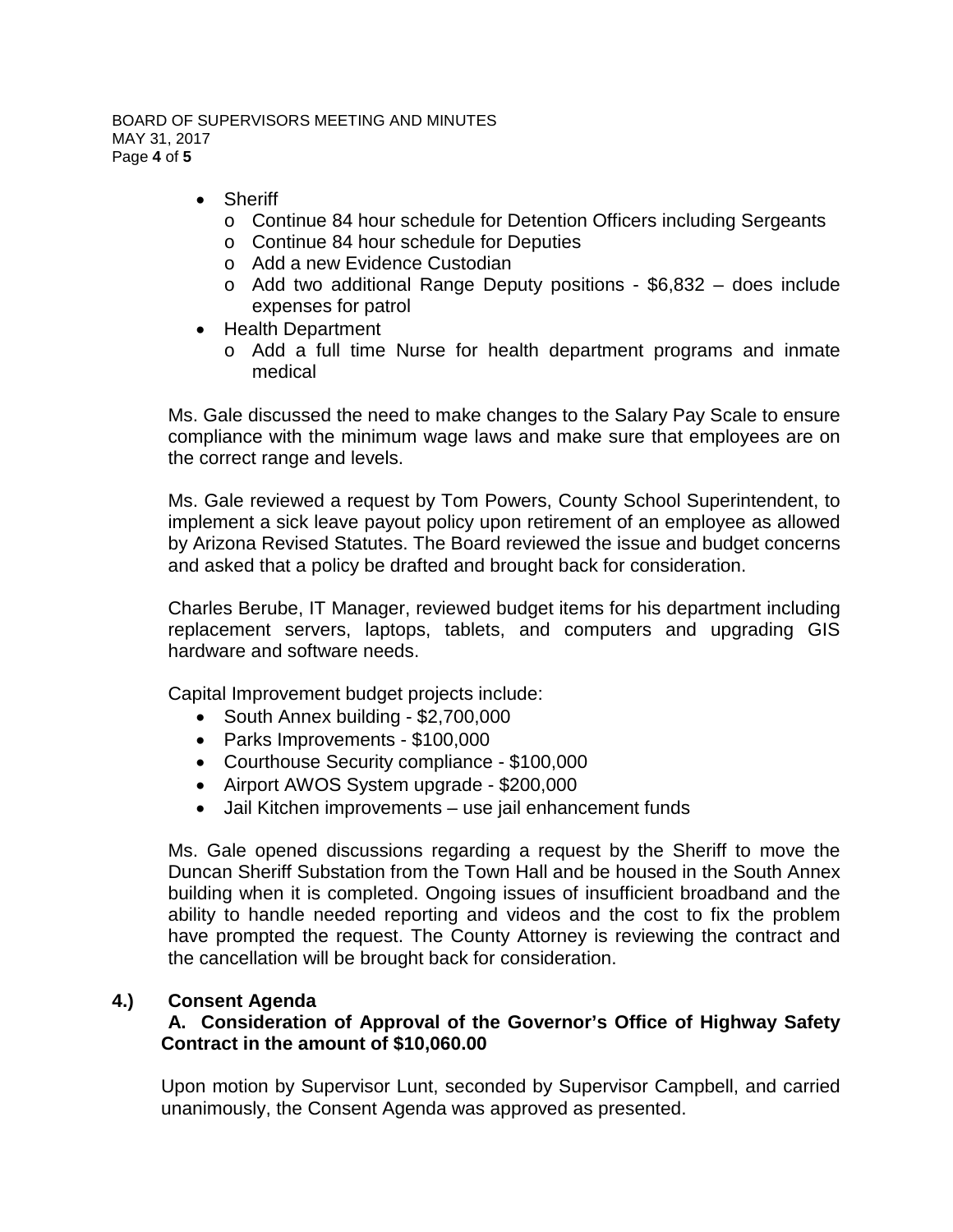BOARD OF SUPERVISORS MEETING AND MINUTES MAY 31, 2017 Page **4** of **5**

- Sheriff
	- o Continue 84 hour schedule for Detention Officers including Sergeants
	- o Continue 84 hour schedule for Deputies
	- o Add a new Evidence Custodian
	- o Add two additional Range Deputy positions \$6,832 does include expenses for patrol
- Health Department
	- o Add a full time Nurse for health department programs and inmate medical

Ms. Gale discussed the need to make changes to the Salary Pay Scale to ensure compliance with the minimum wage laws and make sure that employees are on the correct range and levels.

Ms. Gale reviewed a request by Tom Powers, County School Superintendent, to implement a sick leave payout policy upon retirement of an employee as allowed by Arizona Revised Statutes. The Board reviewed the issue and budget concerns and asked that a policy be drafted and brought back for consideration.

Charles Berube, IT Manager, reviewed budget items for his department including replacement servers, laptops, tablets, and computers and upgrading GIS hardware and software needs.

Capital Improvement budget projects include:

- South Annex building \$2,700,000
- Parks Improvements \$100,000
- Courthouse Security compliance \$100,000
- Airport AWOS System upgrade \$200,000
- Jail Kitchen improvements use jail enhancement funds

Ms. Gale opened discussions regarding a request by the Sheriff to move the Duncan Sheriff Substation from the Town Hall and be housed in the South Annex building when it is completed. Ongoing issues of insufficient broadband and the ability to handle needed reporting and videos and the cost to fix the problem have prompted the request. The County Attorney is reviewing the contract and the cancellation will be brought back for consideration.

## **4.) Consent Agenda**

## **A. Consideration of Approval of the Governor's Office of Highway Safety Contract in the amount of \$10,060.00**

Upon motion by Supervisor Lunt, seconded by Supervisor Campbell, and carried unanimously, the Consent Agenda was approved as presented.